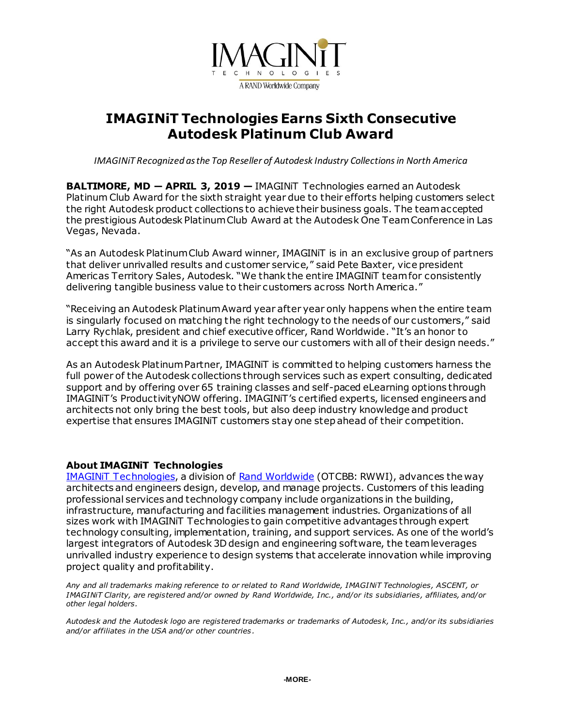

# **IMAGINiT Technologies Earns Sixth Consecutive Autodesk Platinum Club Award**

*IMAGINiT Recognized as the Top Reseller of Autodesk Industry Collections in North America*

**BALTIMORE, MD ― APRIL 3, 2019 —** IMAGINiT Technologies earned an Autodesk Platinum Club Award for the sixth straight year due to their efforts helping customers select the right Autodesk product collections to achieve their business goals. The team accepted the prestigious Autodesk Platinum Club Award at the Autodesk One Team Conference in Las Vegas, Nevada.

"As an Autodesk Platinum Club Award winner, IMAGINiT is in an exclusive group of partners that deliver unrivalled results and customer service," said Pete Baxter, vice president Americas Territory Sales, Autodesk. "We thank the entire IMAGINiT team for consistently delivering tangible business value to their customers across North America."

"Receiving an Autodesk Platinum Award year after year only happens when the entire team is singularly focused on matching the right technology to the needs of our customers," said Larry Rychlak, president and chief executive officer, Rand Worldwide. "It's an honor to accept this award and it is a privilege to serve our customers with all of their design needs."

As an Autodesk Platinum Partner, IMAGINiT is committed to helping customers harness the full power of the Autodesk collections through services such as expert consulting, dedicated support and by offering over 65 training classes and self-paced eLearning options through IMAGINiT's ProductivityNOW offering. IMAGINiT's certified experts, licensed engineers and architects not only bring the best tools, but also deep industry knowledge and product expertise that ensures IMAGINiT customers stay one step ahead of their competition.

### **About IMAGINiT Technologies**

[IMAGINiT Technologies,](http://www.imaginit.com/?utm_source=dynamic&utm_medium=press-release&utm_campaign=platinum-club-2019) a division of [Rand Worldwide](http://www.rand.com/?utm_source=dynamic&utm_medium=press-release&utm_campaign=platinum-club-2019) (OTCBB: RWWI), advances the way architects and engineers design, develop, and manage projects. Customers of this leading professional services and technology company include organizations in the building, infrastructure, manufacturing and facilities management industries. Organizations of all sizes work with IMAGINiT Technologies to gain competitive advantages through expert technology consulting, implementation, training, and support services. As one of the world's largest integrators of Autodesk 3D design and engineering software, the team leverages unrivalled industry experience to design systems that accelerate innovation while improving project quality and profitability.

*Any and all trademarks making reference to or related to Rand Worldwide, IMAGINiT Technologies, ASCENT, or IMAGINiT Clarity, are registered and/or owned by Rand Worldwide, Inc., and/or its subsidiaries, affiliates, and/or other legal holders.*

*Autodesk and the Autodesk logo are registered trademarks or trademarks of Autodesk, Inc., and/or its subsidiaries and/or affiliates in the USA and/or other countries .*